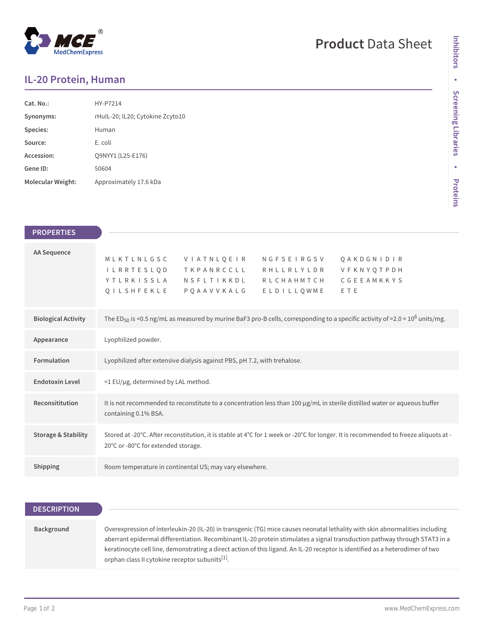## $^\circledR$ MedChemExpress

# **Product** Data Sheet

### **IL-20 Protein, Human**

| Cat. No.          | HY-P7214                         |
|-------------------|----------------------------------|
| Synonyms:         | rHull-20; IL20; Cytokine Zcyto10 |
| Species:          | Human                            |
| Source:           | E. coli                          |
| Accession:        | O9NYY1 (L25-E176)                |
| Gene ID:          | 50604                            |
| Molecular Weight: | Approximately 17.6 kDa           |

| <b>PROPERTIES</b>              |                                                                                                                                                                                                                                              |
|--------------------------------|----------------------------------------------------------------------------------------------------------------------------------------------------------------------------------------------------------------------------------------------|
| <b>AA Sequence</b>             | VIATNLQEIR<br>MLKTLNLGSC<br>NGFSEIRGSV<br><b>QAKDGNIDIR</b><br>I L R R T E S L Q D<br>TKPANRCCLL<br>VFKNYQTPDH<br>RHLLRLYLDR<br>CGEEAMKKYS<br><b>YTLRKISSLA</b><br>NSFLTIKKDL<br>RLCHAHMTCH<br>QILSHFEKLE<br>PQAAVVKALG<br>ELDILLQWME<br>ETE |
| <b>Biological Activity</b>     | The ED <sub>50</sub> is <0.5 ng/mL as measured by murine BaF3 pro-B cells, corresponding to a specific activity of >2.0 × 10 <sup>6</sup> units/mg.                                                                                          |
| Appearance                     | Lyophilized powder.                                                                                                                                                                                                                          |
| Formulation                    | Lyophilized after extensive dialysis against PBS, pH 7.2, with trehalose.                                                                                                                                                                    |
| <b>Endotoxin Level</b>         | <1 EU/µg, determined by LAL method.                                                                                                                                                                                                          |
| Reconsititution                | It is not recommended to reconstitute to a concentration less than 100 µg/mL in sterile distilled water or aqueous buffer<br>containing 0.1% BSA.                                                                                            |
| <b>Storage &amp; Stability</b> | Stored at -20°C. After reconstitution, it is stable at 4°C for 1 week or -20°C for longer. It is recommended to freeze aliquots at -<br>20°C or -80°C for extended storage.                                                                  |
| Shipping                       | Room temperature in continental US; may vary elsewhere.                                                                                                                                                                                      |

| <b>DESCRIPTION</b> |                                                                                                                                                                                                                                                                                                                                                                                                                                                           |
|--------------------|-----------------------------------------------------------------------------------------------------------------------------------------------------------------------------------------------------------------------------------------------------------------------------------------------------------------------------------------------------------------------------------------------------------------------------------------------------------|
| Background         | Overexpression of Interleukin-20 (IL-20) in transgenic (TG) mice causes neonatal lethality with skin abnormalities including<br>aberrant epidermal differentiation. Recombinant IL-20 protein stimulates a signal transduction pathway through STAT3 in a<br>keratinocyte cell line, demonstrating a direct action of this ligand. An IL-20 receptor is identified as a heterodimer of two<br>orphan class II cytokine receptor subunits <sup>[1]</sup> . |